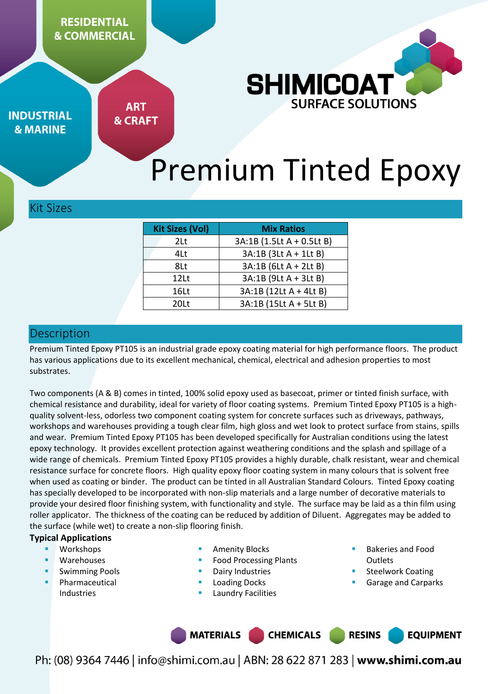**RESIDENTIAL & COMMERCIAL** 



**INDUSTRIAL & MARINE** 

**ART & CRAFT** 

# Premium Tinted Epoxy

#### Kit Sizes

| <b>Kit Sizes (Vol)</b> | <b>Mix Ratios</b>         |  |  |
|------------------------|---------------------------|--|--|
| 2Lt                    | 3A:1B (1.5Lt A + 0.5Lt B) |  |  |
| 4Lt<br>8Lt             | 3A:1B (3Lt A + 1Lt B)     |  |  |
|                        | 3A:1B (6Lt A + 2Lt B)     |  |  |
| 12Lt                   | 3A:1B (9Lt A + 3Lt B)     |  |  |
| 16Lt                   | 3A:1B (12Lt A + 4Lt B)    |  |  |
| 201 <sub>1</sub>       | 3A:1B (15Lt A + 5Lt B)    |  |  |

#### **Description**

Premium Tinted Epoxy PT105 is an industrial grade epoxy coating material for high performance floors. The product has various applications due to its excellent mechanical, chemical, electrical and adhesion properties to most substrates.

Two components (A & B) comes in tinted, 100% solid epoxy used as basecoat, primer or tinted finish surface, with chemical resistance and durability, ideal for variety of floor coating systems. Premium Tinted Epoxy PT105 is a highquality solvent-less, odorless two component coating system for concrete surfaces such as driveways, pathways, workshops and warehouses providing a tough clear film, high gloss and wet look to protect surface from stains, spills and wear. Premium Tinted Epoxy PT105 has been developed specifically for Australian conditions using the latest epoxy technology. It provides excellent protection against weathering conditions and the splash and spillage of a wide range of chemicals. Premium Tinted Epoxy PT105 provides a highly durable, chalk resistant, wear and chemical resistance surface for concrete floors. High quality epoxy floor coating system in many colours that is solvent free when used as coating or binder. The product can be tinted in all Australian Standard Colours. Tinted Epoxy coating has specially developed to be incorporated with non-slip materials and a large number of decorative materials to provide your desired floor finishing system, with functionality and style. The surface may be laid as a thin film using roller applicator. The thickness of the coating can be reduced by addition of Diluent. Aggregates may be added to the surface (while wet) to create a non-slip flooring finish.

#### **Typical Applications**

- Workshops
- Warehouses
- Swimming Pools
- Pharmaceutical Industries
- Amenity Blocks
- Food Processing Plants
- Dairy Industries
- Loading Docks
- Laundry Facilities
- Bakeries and Food **Outlets**
- Steelwork Coating
- Garage and Carparks

**MATERIALS CHEMICALS RESINS EQUIPMENT**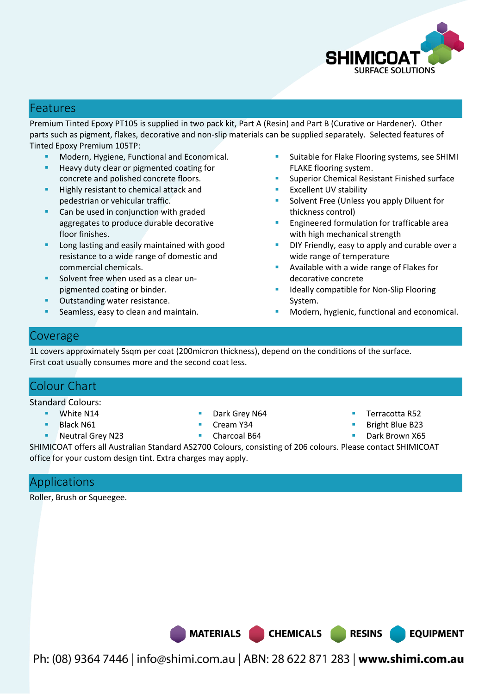

## Features

Premium Tinted Epoxy PT105 is supplied in two pack kit, Part A (Resin) and Part B (Curative or Hardener). Other parts such as pigment, flakes, decorative and non-slip materials can be supplied separately. Selected features of Tinted Epoxy Premium 105TP:

- Modern, Hygiene, Functional and Economical.
- Heavy duty clear or pigmented coating for concrete and polished concrete floors.
- Highly resistant to chemical attack and pedestrian or vehicular traffic.
- Can be used in conjunction with graded aggregates to produce durable decorative floor finishes.
- Long lasting and easily maintained with good resistance to a wide range of domestic and commercial chemicals.
- Solvent free when used as a clear unpigmented coating or binder.
- Outstanding water resistance.
- Seamless, easy to clean and maintain.
- Suitable for Flake Flooring systems, see SHIMI FLAKE flooring system.
- Superior Chemical Resistant Finished surface
- Excellent UV stability
- Solvent Free (Unless you apply Diluent for thickness control)
- Engineered formulation for trafficable area with high mechanical strength
- DIY Friendly, easy to apply and curable over a wide range of temperature
- Available with a wide range of Flakes for decorative concrete
- Ideally compatible for Non-Slip Flooring System.
- Modern, hygienic, functional and economical.

## Coverage

1L covers approximately 5sqm per coat (200micron thickness), depend on the conditions of the surface. First coat usually consumes more and the second coat less.

## Colour Chart

Standard Colours:

- **White N14**
- Black N61
- **Neutral Grey N23**
- Dark Grey N64
- Cream Y34
- Charcoal B64
- Terracotta R52
- Bright Blue B23
- Dark Brown X65

**EQUIPMENT** 

SHIMICOAT offers all Australian Standard AS2700 Colours, consisting of 206 colours. Please contact SHIMICOAT office for your custom design tint. Extra charges may apply.

# Applications

Roller, Brush or Squeegee.

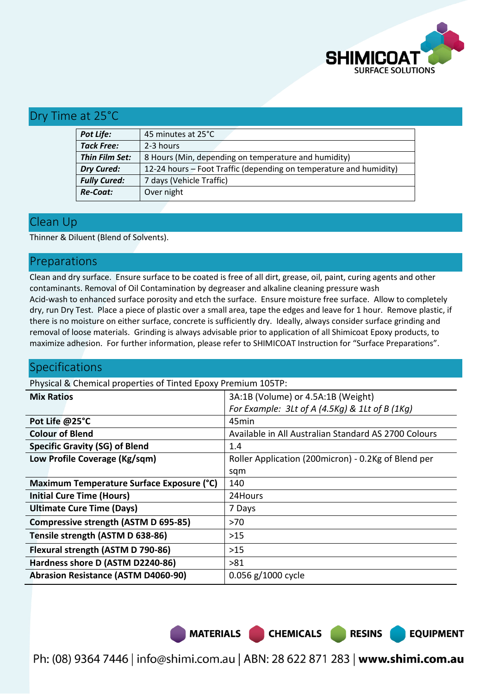

## Dry Time at 25°C

| Pot Life:           | 45 minutes at 25°C                                                 |  |  |
|---------------------|--------------------------------------------------------------------|--|--|
| <b>Tack Free:</b>   | 2-3 hours                                                          |  |  |
| Thin Film Set:      | 8 Hours (Min, depending on temperature and humidity)               |  |  |
| <b>Dry Cured:</b>   | 12-24 hours – Foot Traffic (depending on temperature and humidity) |  |  |
| <b>Fully Cured:</b> | 7 days (Vehicle Traffic)                                           |  |  |
| <b>Re-Coat:</b>     | Over night                                                         |  |  |

#### Clean Up

Thinner & Diluent (Blend of Solvents).

## Preparations

Clean and dry surface. Ensure surface to be coated is free of all dirt, grease, oil, paint, curing agents and other contaminants. Removal of Oil Contamination by degreaser and alkaline cleaning pressure wash Acid-wash to enhanced surface porosity and etch the surface. Ensure moisture free surface. Allow to completely dry, run Dry Test. Place a piece of plastic over a small area, tape the edges and leave for 1 hour. Remove plastic, if there is no moisture on either surface, concrete is sufficiently dry. Ideally, always consider surface grinding and removal of loose materials. Grinding is always advisable prior to application of all Shimicoat Epoxy products, to maximize adhesion. For further information, please refer to SHIMICOAT Instruction for "Surface Preparations".

## Specifications

Physical & Chemical properties of Tinted Epoxy Premium 105TP:

| 3A:1B (Volume) or 4.5A:1B (Weight)                   |  |  |
|------------------------------------------------------|--|--|
| For Example: $3$ Lt of A (4.5Kg) & 1Lt of B (1Kg)    |  |  |
| 45min                                                |  |  |
| Available in All Australian Standard AS 2700 Colours |  |  |
| 1.4                                                  |  |  |
| Roller Application (200micron) - 0.2Kg of Blend per  |  |  |
| sqm                                                  |  |  |
| 140                                                  |  |  |
| 24Hours                                              |  |  |
| 7 Days                                               |  |  |
| >70                                                  |  |  |
| $>15$                                                |  |  |
| $>15$                                                |  |  |
| >81                                                  |  |  |
| 0.056 g/1000 cycle                                   |  |  |
|                                                      |  |  |

MATERIALS CHEMICALS RESINS

**EQUIPMENT**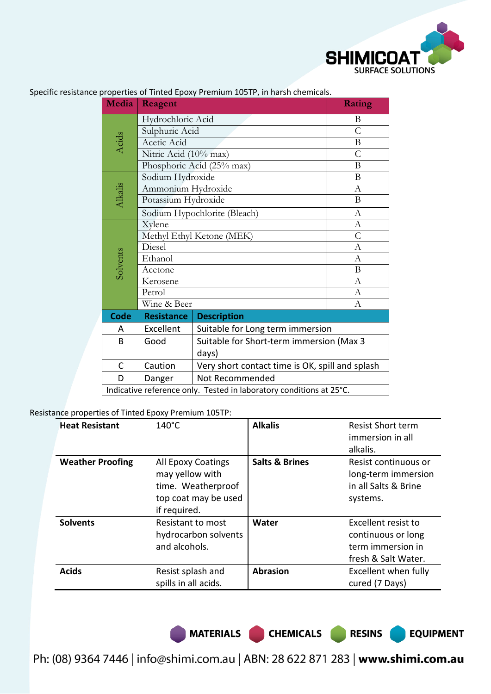

|  | Media       | Reagent                                                             | Rating                                   |               |
|--|-------------|---------------------------------------------------------------------|------------------------------------------|---------------|
|  |             | Hydrochloric Acid                                                   |                                          | B             |
|  |             | Sulphuric Acid                                                      |                                          | $\mathsf{C}$  |
|  | Acids       | Acetic Acid                                                         | $\bf{B}$                                 |               |
|  |             | Nitric Acid (10% max)                                               | $\overline{C}$                           |               |
|  |             | Phosphoric Acid (25% max)                                           |                                          | $\, {\bf B}$  |
|  |             | Sodium Hydroxide                                                    |                                          | $\mathbf{B}$  |
|  |             | Ammonium Hydroxide                                                  |                                          | A             |
|  | Alkalis     | Potassium Hydroxide                                                 |                                          | B             |
|  |             | Sodium Hypochlorite (Bleach)                                        |                                          | $\mathbf{A}$  |
|  |             | Xylene                                                              |                                          | $\mathbf{A}$  |
|  |             | Methyl Ethyl Ketone (MEK)                                           |                                          | $\mathcal{C}$ |
|  |             | Diesel                                                              |                                          | A             |
|  | Solvents    | Ethanol                                                             |                                          | A             |
|  |             | Acetone                                                             |                                          | B             |
|  |             | Kerosene                                                            |                                          | A             |
|  |             | Petrol                                                              |                                          | A             |
|  |             | Wine & Beer                                                         |                                          | А             |
|  | <b>Code</b> | <b>Resistance</b>                                                   | <b>Description</b>                       |               |
|  | A           | Excellent                                                           | Suitable for Long term immersion         |               |
|  | B           | Good                                                                | Suitable for Short-term immersion (Max 3 |               |
|  | days)       |                                                                     |                                          |               |
|  | C           | Very short contact time is OK, spill and splash<br>Caution          |                                          |               |
|  | D           | Danger                                                              |                                          |               |
|  |             | Indicative reference only. Tested in laboratory conditions at 25°C. |                                          |               |

Specific resistance properties of Tinted Epoxy Premium 105TP, in harsh chemicals.

Resistance properties of Tinted Epoxy Premium 105TP:

| <b>Heat Resistant</b>   | $140^{\circ}$ C                                                                                     | <b>Alkalis</b>            | <b>Resist Short term</b><br>immersion in all<br>alkalis.                              |
|-------------------------|-----------------------------------------------------------------------------------------------------|---------------------------|---------------------------------------------------------------------------------------|
| <b>Weather Proofing</b> | All Epoxy Coatings<br>may yellow with<br>time. Weatherproof<br>top coat may be used<br>if required. | <b>Salts &amp; Brines</b> | Resist continuous or<br>long-term immersion<br>in all Salts & Brine<br>systems.       |
| <b>Solvents</b>         | Resistant to most<br>hydrocarbon solvents<br>and alcohols.                                          | Water                     | Excellent resist to<br>continuous or long<br>term immersion in<br>fresh & Salt Water. |
| <b>Acids</b>            | Resist splash and<br>spills in all acids.                                                           | <b>Abrasion</b>           | Excellent when fully<br>cured (7 Days)                                                |

MATERIALS CHEMICALS RESINS